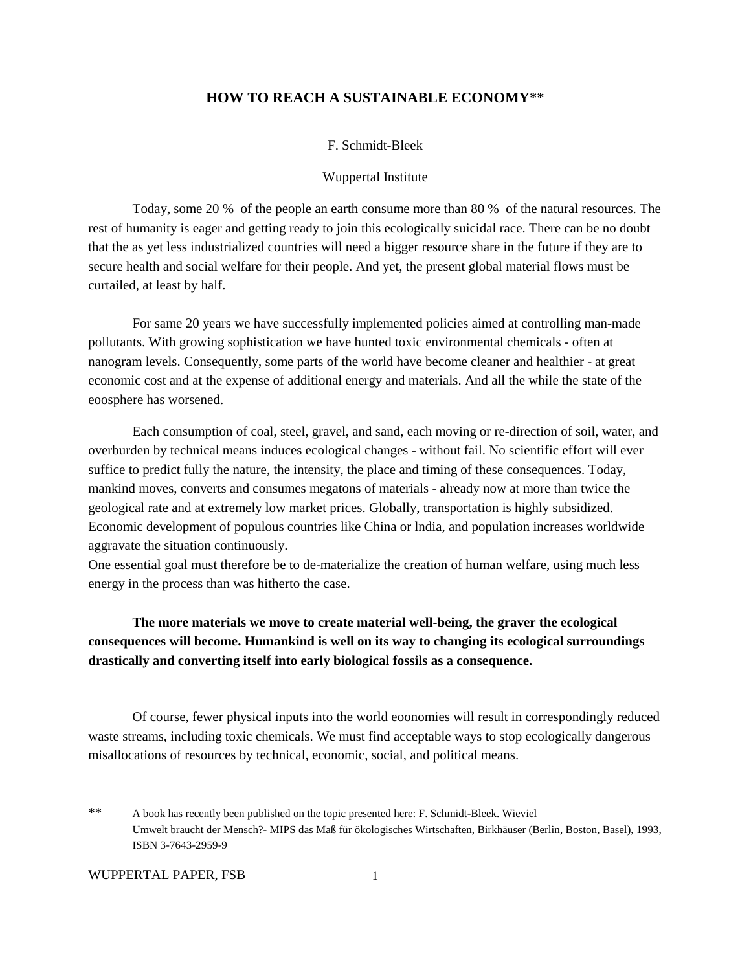## **HOW TO REACH A SUSTAINABLE ECONOMY\*\***

### F. Schmidt-Bleek

#### Wuppertal Institute

Today, some 20 % of the people an earth consume more than 80 % of the natural resources. The rest of humanity is eager and getting ready to join this ecologically suicidal race. There can be no doubt that the as yet less industrialized countries will need a bigger resource share in the future if they are to secure health and social welfare for their people. And yet, the present global material flows must be curtailed, at least by half.

For same 20 years we have successfully implemented policies aimed at controlling man-made pollutants. With growing sophistication we have hunted toxic environmental chemicals - often at nanogram levels. Consequently, some parts of the world have become cleaner and healthier - at great economic cost and at the expense of additional energy and materials. And all the while the state of the eoosphere has worsened.

Each consumption of coal, steel, gravel, and sand, each moving or re-direction of soil, water, and overburden by technical means induces ecological changes - without fail. No scientific effort will ever suffice to predict fully the nature, the intensity, the place and timing of these consequences. Today, mankind moves, converts and consumes megatons of materials - already now at more than twice the geological rate and at extremely low market prices. Globally, transportation is highly subsidized. Economic development of populous countries like China or lndia, and population increases worldwide aggravate the situation continuously.

One essential goal must therefore be to de-materialize the creation of human welfare, using much less energy in the process than was hitherto the case.

# **The more materials we move to create material well-being, the graver the ecological consequences will become. Humankind is well on its way to changing its ecological surroundings drastically and converting itself into early biological fossils as a consequence.**

Of course, fewer physical inputs into the world eoonomies will result in correspondingly reduced waste streams, including toxic chemicals. We must find acceptable ways to stop ecologically dangerous misallocations of resources by technical, economic, social, and political means.

<sup>\*\*</sup> A book has recently been published on the topic presented here: F. Schmidt-Bleek. Wieviel Umwelt braucht der Mensch?- MIPS das Maß für ökologisches Wirtschaften, Birkhäuser (Berlin, Boston, Basel), 1993, ISBN 3-7643-2959-9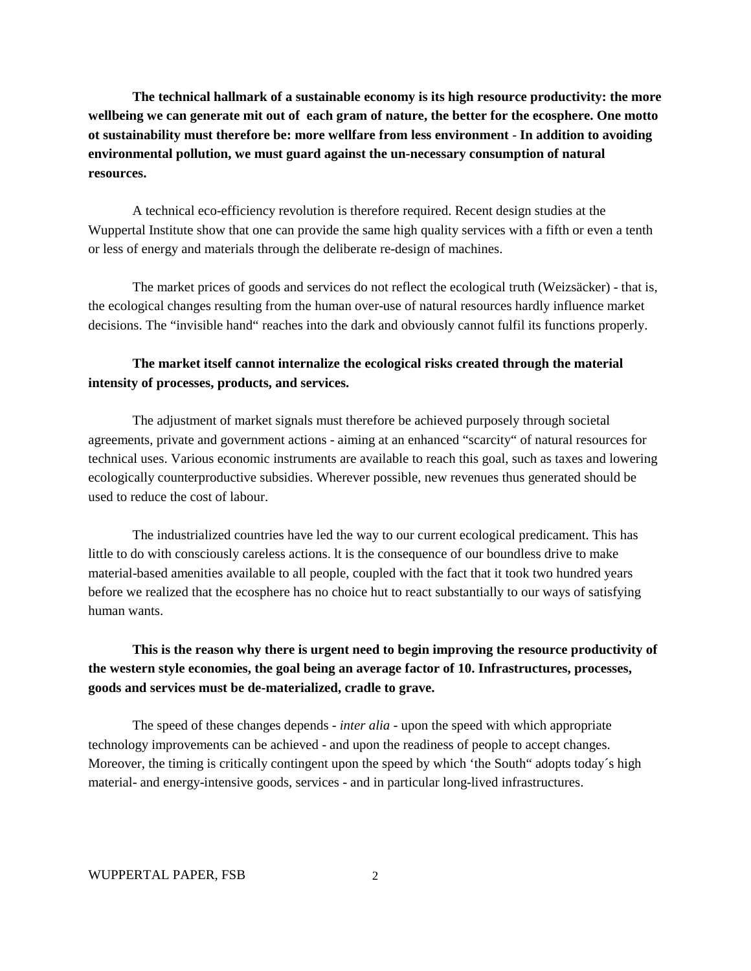**The technical hallmark of a sustainable economy is its high resource productivity: the more wellbeing we can generate mit out of each gram of nature, the better for the ecosphere. One motto ot sustainability must therefore be: more wellfare from less environment** - **In addition to avoiding environmental pollution, we must guard against the un-necessary consumption of natural resources.**

A technical eco-efficiency revolution is therefore required. Recent design studies at the Wuppertal Institute show that one can provide the same high quality services with a fifth or even a tenth or less of energy and materials through the deliberate re-design of machines.

The market prices of goods and services do not reflect the ecological truth (Weizsäcker) - that is, the ecological changes resulting from the human over-use of natural resources hardly influence market decisions. The "invisible hand" reaches into the dark and obviously cannot fulfil its functions properly.

## **The market itself cannot internalize the ecological risks created through the material intensity of processes, products, and services.**

The adjustment of market signals must therefore be achieved purposely through societal agreements, private and government actions - aiming at an enhanced "scarcity" of natural resources for technical uses. Various economic instruments are available to reach this goal, such as taxes and lowering ecologically counterproductive subsidies. Wherever possible, new revenues thus generated should be used to reduce the cost of labour.

The industrialized countries have led the way to our current ecological predicament. This has little to do with consciously careless actions. lt is the consequence of our boundless drive to make material-based amenities available to all people, coupled with the fact that it took two hundred years before we realized that the ecosphere has no choice hut to react substantially to our ways of satisfying human wants.

# **This is the reason why there is urgent need to begin improving the resource productivity of the western style economies, the goal being an average factor of 10. Infrastructures, processes, goods and services must be de-materialized, cradle to grave.**

The speed of these changes depends - *inter alia* - upon the speed with which appropriate technology improvements can be achieved - and upon the readiness of people to accept changes. Moreover, the timing is critically contingent upon the speed by which 'the South" adopts today´s high material- and energy-intensive goods, services - and in particular long-lived infrastructures.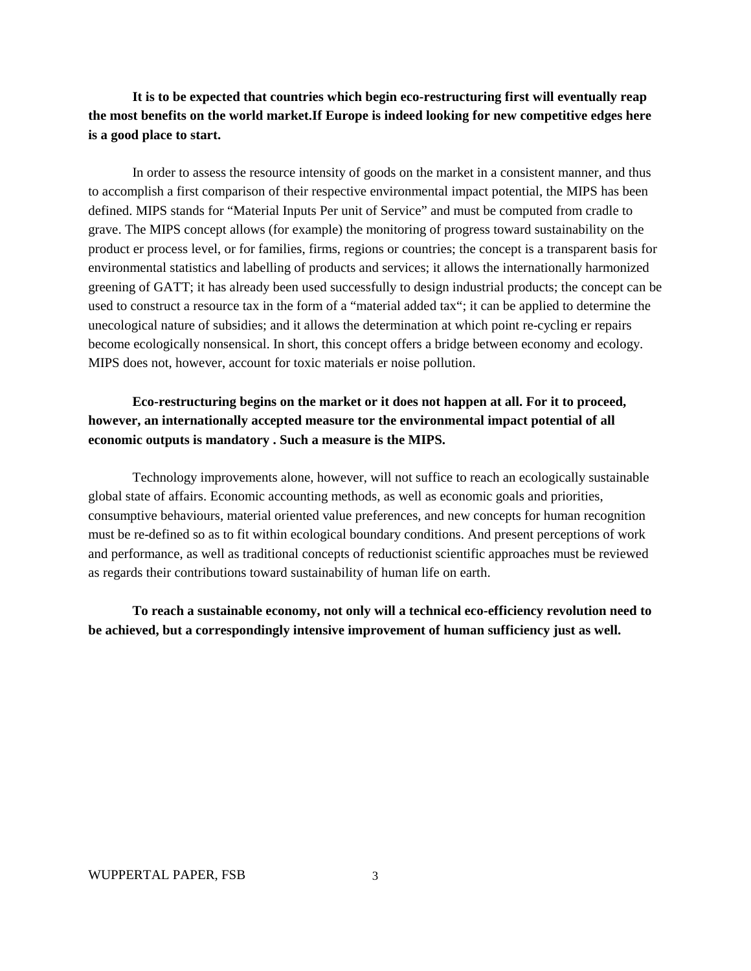**It is to be expected that countries which begin eco-restructuring first will eventually reap the most benefits on the world market.If Europe is indeed looking for new competitive edges here is a good place to start.**

In order to assess the resource intensity of goods on the market in a consistent manner, and thus to accomplish a first comparison of their respective environmental impact potential, the MIPS has been defined. MIPS stands for "Material Inputs Per unit of Service" and must be computed from cradle to grave. The MIPS concept allows (for example) the monitoring of progress toward sustainability on the product er process level, or for families, firms, regions or countries; the concept is a transparent basis for environmental statistics and labelling of products and services; it allows the internationally harmonized greening of GATT; it has already been used successfully to design industrial products; the concept can be used to construct a resource tax in the form of a "material added tax"; it can be applied to determine the unecological nature of subsidies; and it allows the determination at which point re-cycling er repairs become ecologically nonsensical. In short, this concept offers a bridge between economy and ecology. MIPS does not, however, account for toxic materials er noise pollution.

## **Eco-restructuring begins on the market or it does not happen at all. For it to proceed, however, an internationally accepted measure tor the environmental impact potential of all economic outputs is mandatory . Such a measure is the MIPS.**

Technology improvements alone, however, will not suffice to reach an ecologically sustainable global state of affairs. Economic accounting methods, as well as economic goals and priorities, consumptive behaviours, material oriented value preferences, and new concepts for human recognition must be re-defined so as to fit within ecological boundary conditions. And present perceptions of work and performance, as well as traditional concepts of reductionist scientific approaches must be reviewed as regards their contributions toward sustainability of human life on earth.

**To reach a sustainable economy, not only will a technical eco-efficiency revolution need to be achieved, but a correspondingly intensive improvement of human sufficiency just as well.**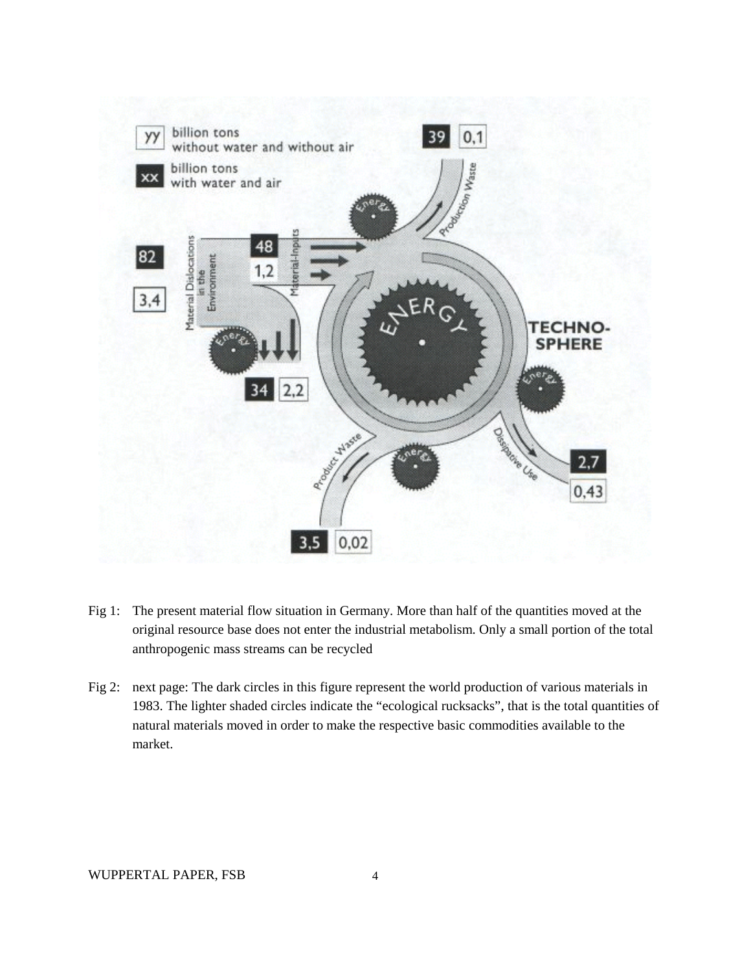

- Fig 1: The present material flow situation in Germany. More than half of the quantities moved at the original resource base does not enter the industrial metabolism. Only a small portion of the total anthropogenic mass streams can be recycled
- Fig 2: next page: The dark circles in this figure represent the world production of various materials in 1983. The lighter shaded circles indicate the "ecological rucksacks", that is the total quantities of natural materials moved in order to make the respective basic commodities available to the market.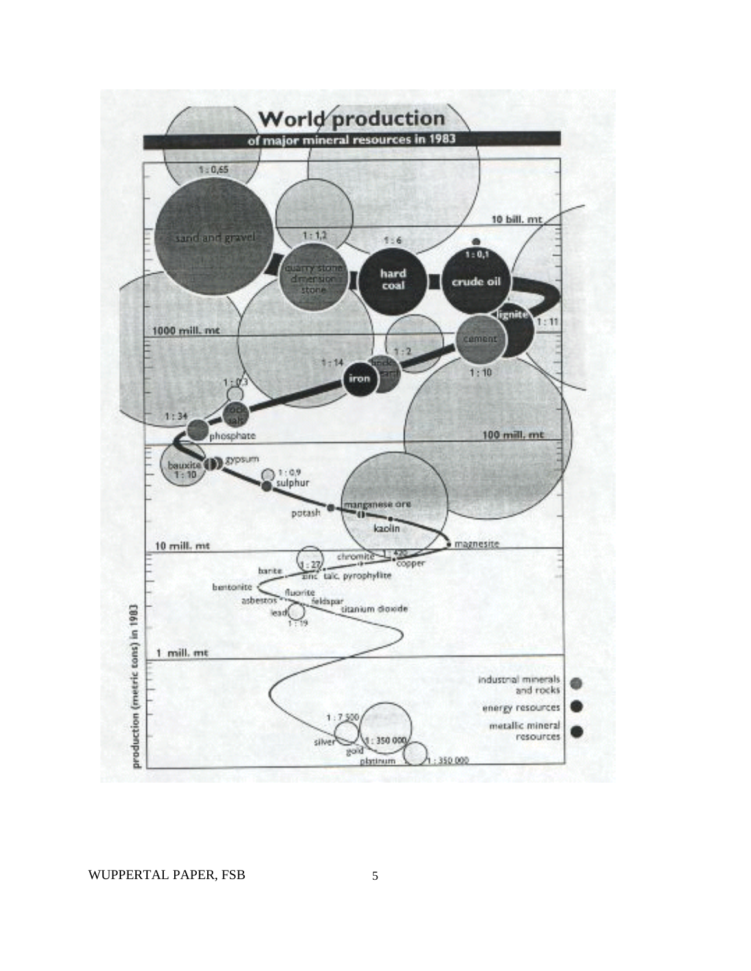

WUPPERTAL PAPER, FSB 5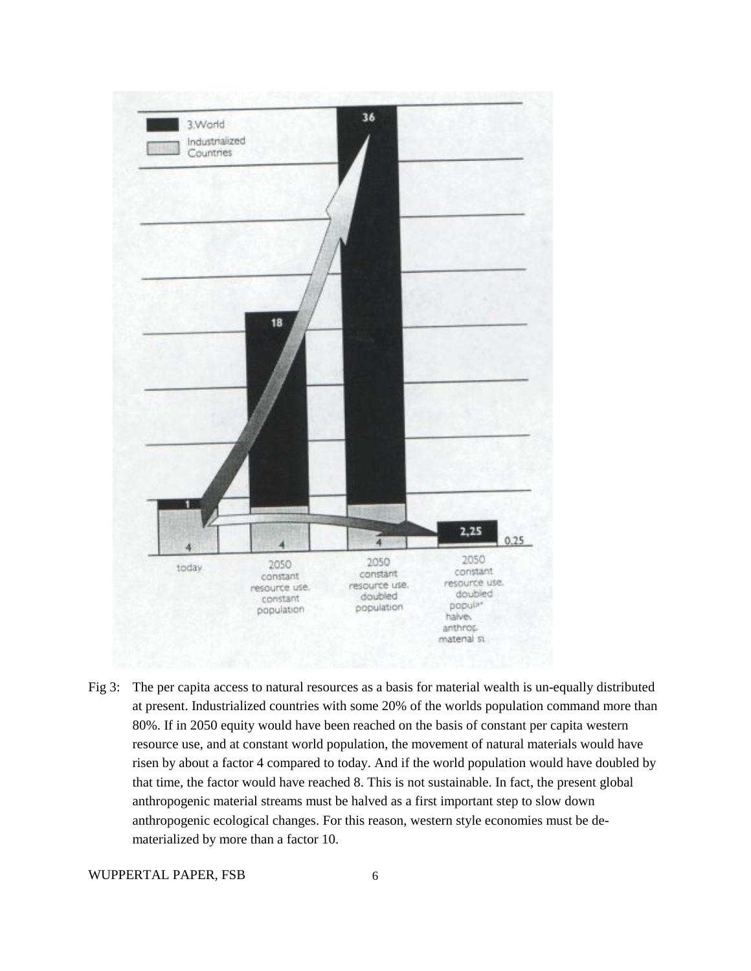

Fig 3: The per capita access to natural resources as a basis for material wealth is un-equally distributed at present. Industrialized countries with some 20% of the worlds population command more than 80%. If in 2050 equity would have been reached on the basis of constant per capita western resource use, and at constant world population, the movement of natural materials would have risen by about a factor 4 compared to today. And if the world population would have doubled by that time, the factor would have reached 8. This is not sustainable. In fact, the present global anthropogenic material streams must be halved as a first important step to slow down anthropogenic ecological changes. For this reason, western style economies must be dematerialized by more than a factor 10.

WUPPERTAL PAPER, FSB 6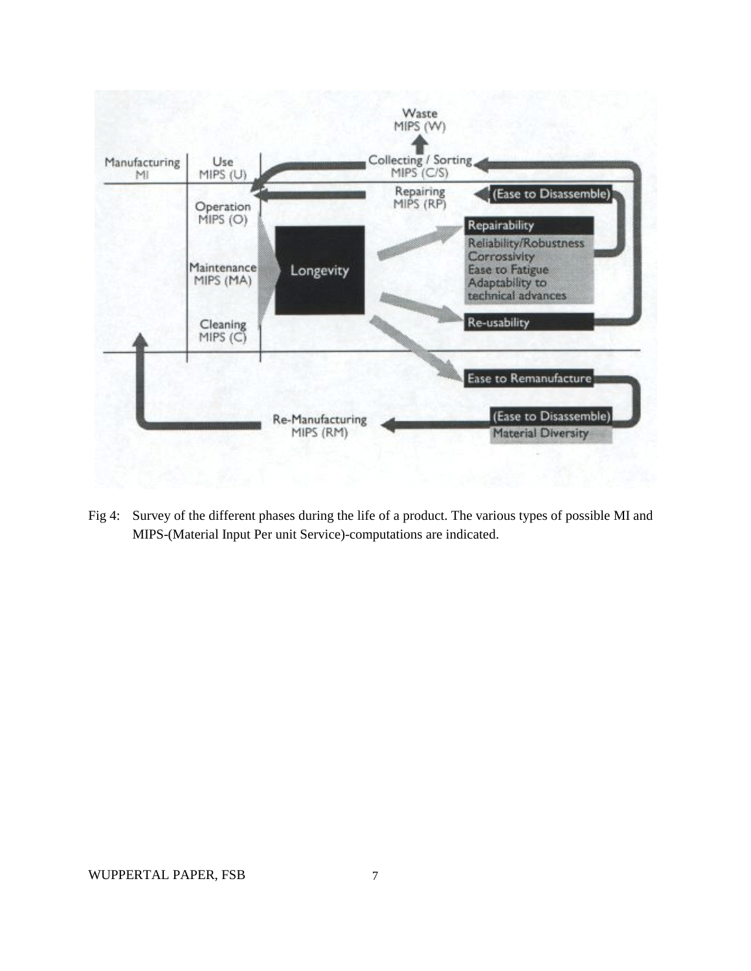

Fig 4: Survey of the different phases during the life of a product. The various types of possible MI and MIPS-(Material Input Per unit Service)-computations are indicated.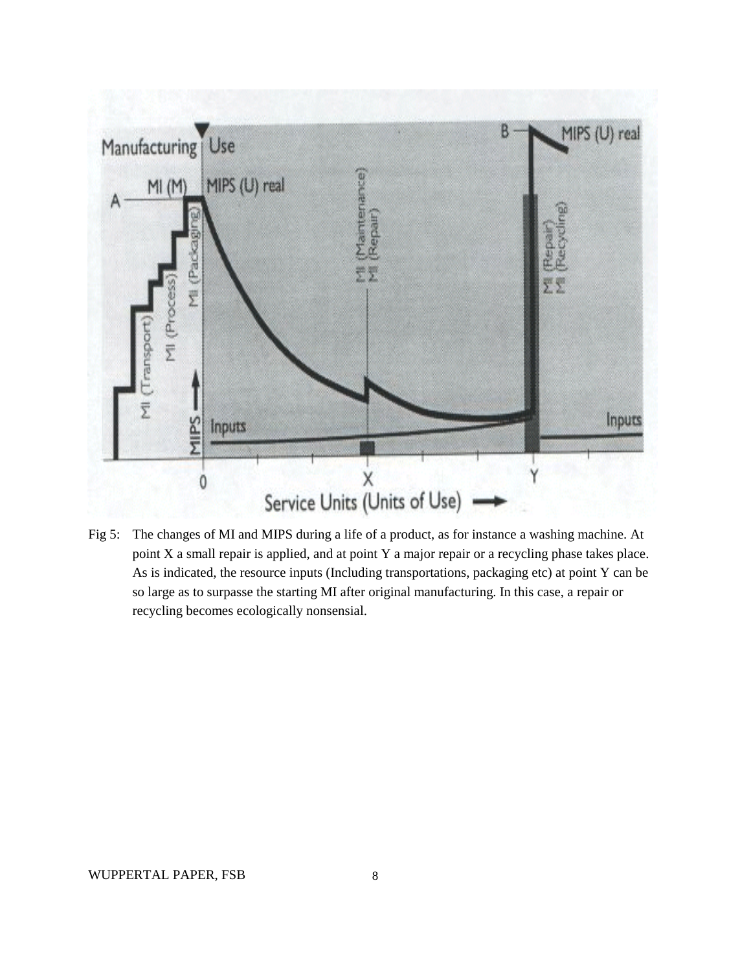

Fig 5: The changes of MI and MIPS during a life of a product, as for instance a washing machine. At point X a small repair is applied, and at point Y a major repair or a recycling phase takes place. As is indicated, the resource inputs (Including transportations, packaging etc) at point Y can be so large as to surpasse the starting MI after original manufacturing. In this case, a repair or recycling becomes ecologically nonsensial.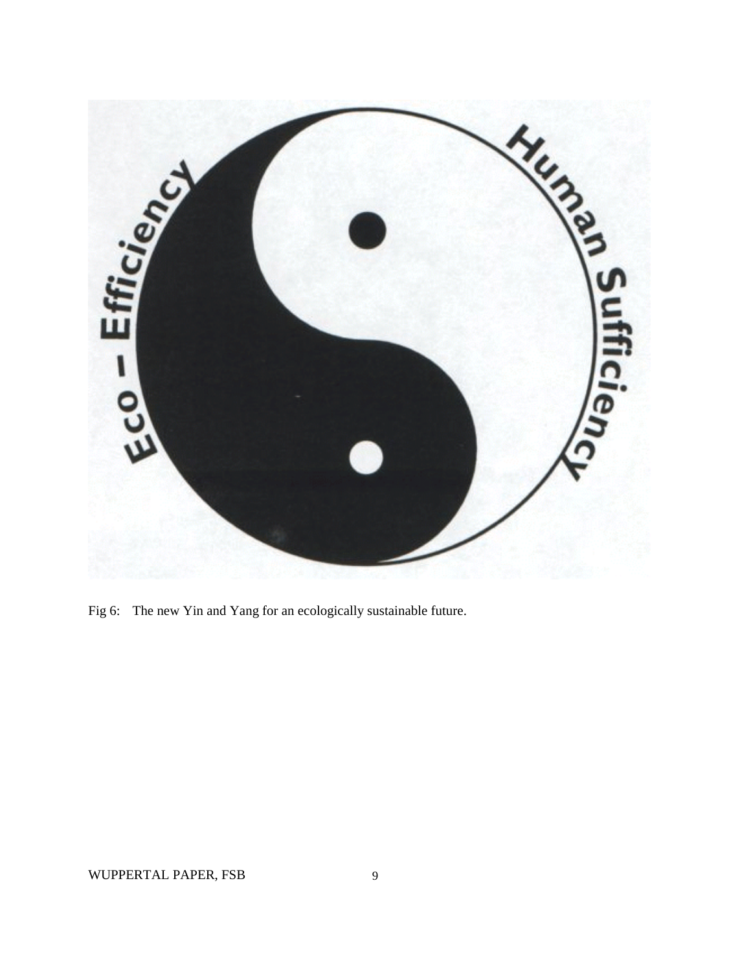

Fig 6: The new Yin and Yang for an ecologically sustainable future.